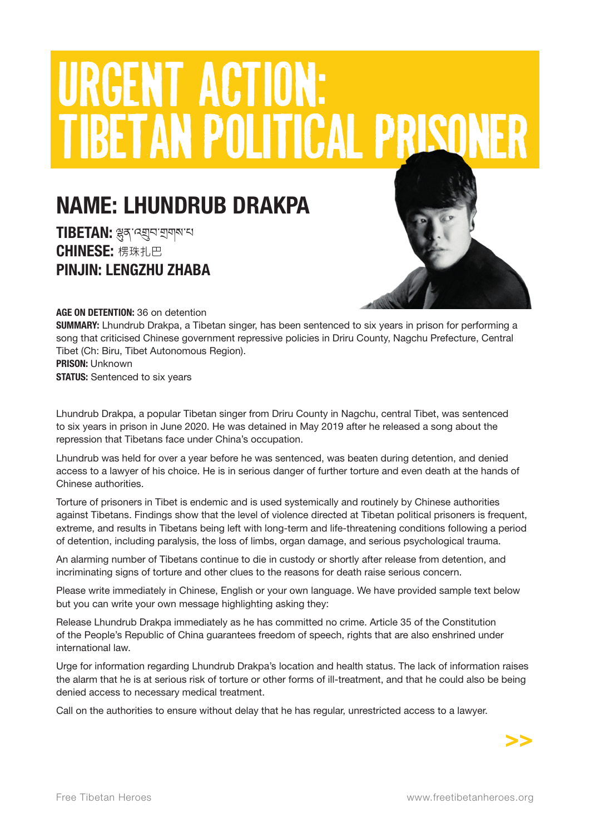# URGENT ACTION: TIBETAN POLITICAL PRISO

## NAME: LHUNDRUB DRAKPA

TIBETAN: ལུན་འགྲུབ་གྲགས་པ CHINESE: 楞珠扎巴 PINJIN: LENGZHU ZHABA



#### AGE ON DETENTION: 36 on detention

SUMMARY: Lhundrub Drakpa, a Tibetan singer, has been sentenced to six years in prison for performing a song that criticised Chinese government repressive policies in Driru County, Nagchu Prefecture, Central Tibet (Ch: Biru, Tibet Autonomous Region).

PRISON: Unknown **STATUS:** Sentenced to six years

Lhundrub Drakpa, a popular Tibetan singer from Driru County in Nagchu, central Tibet, was sentenced to six years in prison in June 2020. He was detained in May 2019 after he released a song about the repression that Tibetans face under China's occupation.

Lhundrub was held for over a year before he was sentenced, was beaten during detention, and denied access to a lawyer of his choice. He is in serious danger of further torture and even death at the hands of Chinese authorities.

Torture of prisoners in Tibet is endemic and is used systemically and routinely by Chinese authorities against Tibetans. Findings show that the level of violence directed at Tibetan political prisoners is frequent, extreme, and results in Tibetans being left with long-term and life-threatening conditions following a period of detention, including paralysis, the loss of limbs, organ damage, and serious psychological trauma.

An alarming number of Tibetans continue to die in custody or shortly after release from detention, and incriminating signs of torture and other clues to the reasons for death raise serious concern.

Please write immediately in Chinese, English or your own language. We have provided sample text below but you can write your own message highlighting asking they:

Release Lhundrub Drakpa immediately as he has committed no crime. Article 35 of the Constitution of the People's Republic of China guarantees freedom of speech, rights that are also enshrined under international law.

Urge for information regarding Lhundrub Drakpa's location and health status. The lack of information raises the alarm that he is at serious risk of torture or other forms of ill-treatment, and that he could also be being denied access to necessary medical treatment.

Call on the authorities to ensure without delay that he has regular, unrestricted access to a lawyer.

>>